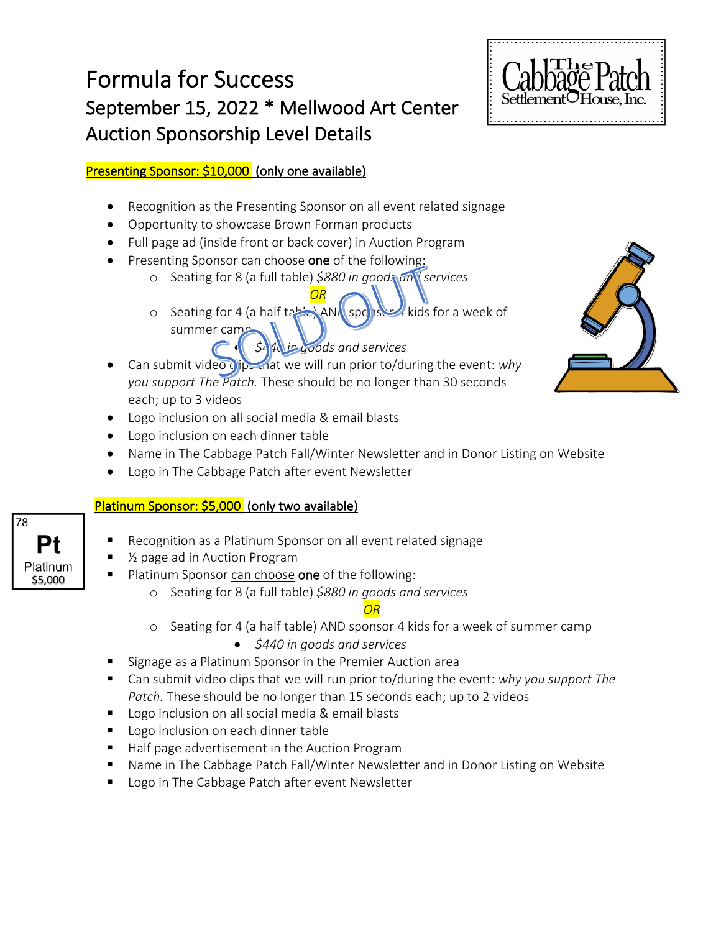# Formula for Success September 15, 2022 \* Mellwood Art Center Auction Sponsorship Level Details



#### Presenting Sponsor: \$10,000 (only one available)

- Recognition as the Presenting Sponsor on all event related signage
- Opportunity to showcase Brown Forman products
- Full page ad (inside front or back cover) in Auction Program
- Presenting Sponsor can choose one of the following:
	- o Seating for 8 (a full table) *\$880 in goods and services OR*
	- o Seating for 4 (a half table) AND sponsor kids for a week of summer camp

### • *\$440 in goods and services*

- Can submit video clips that we will run prior to/during the event: *why you support The Patch.* These should be no longer than 30 seconds each; up to 3 videos
- Logo inclusion on all social media & email blasts
- Logo inclusion on each dinner table
- Name in The Cabbage Patch Fall/Winter Newsletter and in Donor Listing on Website
- Logo in The Cabbage Patch after event Newsletter

#### Platinum Sponsor: \$5,000 (only two available)

- Recognition as a Platinum Sponsor on all event related signage
- § ½ page ad in Auction Program
- Platinum Sponsor can choose one of the following:
	- o Seating for 8 (a full table) *\$880 in goods and services*

#### *OR*

- o Seating for 4 (a half table) AND sponsor 4 kids for a week of summer camp
	- *\$440 in goods and services*
- § Signage as a Platinum Sponsor in the Premier Auction area
- § Can submit video clips that we will run prior to/during the event: *why you support The Patch.* These should be no longer than 15 seconds each; up to 2 videos
- Logo inclusion on all social media & email blasts
- Logo inclusion on each dinner table
- Half page advertisement in the Auction Program
- Name in The Cabbage Patch Fall/Winter Newsletter and in Donor Listing on Website
- Logo in The Cabbage Patch after event Newsletter